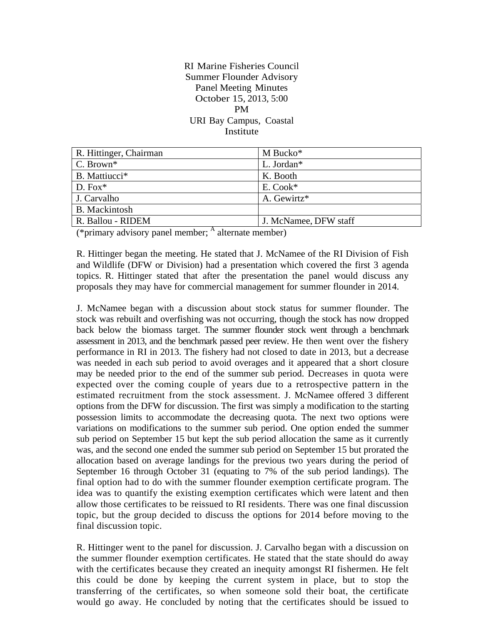#### RI Marine Fisheries Council Summer Flounder Advisory Panel Meeting Minutes October 15, 2013, 5:00 PM URI Bay Campus, Coastal Institute

| R. Hittinger, Chairman    | M Bucko*              |
|---------------------------|-----------------------|
| C. Brown <sup>*</sup>     | L. Jordan*            |
| B. Mattiucci <sup>*</sup> | K. Booth              |
| $D. Fox*$                 | E. Cook*              |
| J. Carvalho               | A. Gewirtz*           |
| B. Mackintosh             |                       |
| R. Ballou - RIDEM         | J. McNamee, DFW staff |

(\*primary advisory panel member;  $\frac{A}{A}$  alternate member)

R. Hittinger began the meeting. He stated that J. McNamee of the RI Division of Fish and Wildlife (DFW or Division) had a presentation which covered the first 3 agenda topics. R. Hittinger stated that after the presentation the panel would discuss any proposals they may have for commercial management for summer flounder in 2014.

J. McNamee began with a discussion about stock status for summer flounder. The stock was rebuilt and overfishing was not occurring, though the stock has now dropped back below the biomass target. The summer flounder stock went through a benchmark assessment in 2013, and the benchmark passed peer review. He then went over the fishery performance in RI in 2013. The fishery had not closed to date in 2013, but a decrease was needed in each sub period to avoid overages and it appeared that a short closure may be needed prior to the end of the summer sub period. Decreases in quota were expected over the coming couple of years due to a retrospective pattern in the estimated recruitment from the stock assessment. J. McNamee offered 3 different options from the DFW for discussion. The first was simply a modification to the starting possession limits to accommodate the decreasing quota. The next two options were variations on modifications to the summer sub period. One option ended the summer sub period on September 15 but kept the sub period allocation the same as it currently was, and the second one ended the summer sub period on September 15 but prorated the allocation based on average landings for the previous two years during the period of September 16 through October 31 (equating to 7% of the sub period landings). The final option had to do with the summer flounder exemption certificate program. The idea was to quantify the existing exemption certificates which were latent and then allow those certificates to be reissued to RI residents. There was one final discussion topic, but the group decided to discuss the options for 2014 before moving to the final discussion topic.

R. Hittinger went to the panel for discussion. J. Carvalho began with a discussion on the summer flounder exemption certificates. He stated that the state should do away with the certificates because they created an inequity amongst RI fishermen. He felt this could be done by keeping the current system in place, but to stop the transferring of the certificates, so when someone sold their boat, the certificate would go away. He concluded by noting that the certificates should be issued to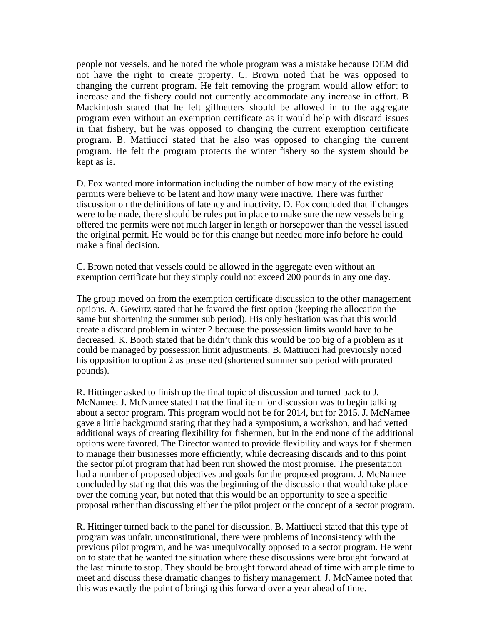people not vessels, and he noted the whole program was a mistake because DEM did not have the right to create property. C. Brown noted that he was opposed to changing the current program. He felt removing the program would allow effort to increase and the fishery could not currently accommodate any increase in effort. B Mackintosh stated that he felt gillnetters should be allowed in to the aggregate program even without an exemption certificate as it would help with discard issues in that fishery, but he was opposed to changing the current exemption certificate program. B. Mattiucci stated that he also was opposed to changing the current program. He felt the program protects the winter fishery so the system should be kept as is.

D. Fox wanted more information including the number of how many of the existing permits were believe to be latent and how many were inactive. There was further discussion on the definitions of latency and inactivity. D. Fox concluded that if changes were to be made, there should be rules put in place to make sure the new vessels being offered the permits were not much larger in length or horsepower than the vessel issued the original permit. He would be for this change but needed more info before he could make a final decision.

C. Brown noted that vessels could be allowed in the aggregate even without an exemption certificate but they simply could not exceed 200 pounds in any one day.

The group moved on from the exemption certificate discussion to the other management options. A. Gewirtz stated that he favored the first option (keeping the allocation the same but shortening the summer sub period). His only hesitation was that this would create a discard problem in winter 2 because the possession limits would have to be decreased. K. Booth stated that he didn't think this would be too big of a problem as it could be managed by possession limit adjustments. B. Mattiucci had previously noted his opposition to option 2 as presented (shortened summer sub period with prorated pounds).

R. Hittinger asked to finish up the final topic of discussion and turned back to J. McNamee. J. McNamee stated that the final item for discussion was to begin talking about a sector program. This program would not be for 2014, but for 2015. J. McNamee gave a little background stating that they had a symposium, a workshop, and had vetted additional ways of creating flexibility for fishermen, but in the end none of the additional options were favored. The Director wanted to provide flexibility and ways for fishermen to manage their businesses more efficiently, while decreasing discards and to this point the sector pilot program that had been run showed the most promise. The presentation had a number of proposed objectives and goals for the proposed program. J. McNamee concluded by stating that this was the beginning of the discussion that would take place over the coming year, but noted that this would be an opportunity to see a specific proposal rather than discussing either the pilot project or the concept of a sector program.

R. Hittinger turned back to the panel for discussion. B. Mattiucci stated that this type of program was unfair, unconstitutional, there were problems of inconsistency with the previous pilot program, and he was unequivocally opposed to a sector program. He went on to state that he wanted the situation where these discussions were brought forward at the last minute to stop. They should be brought forward ahead of time with ample time to meet and discuss these dramatic changes to fishery management. J. McNamee noted that this was exactly the point of bringing this forward over a year ahead of time.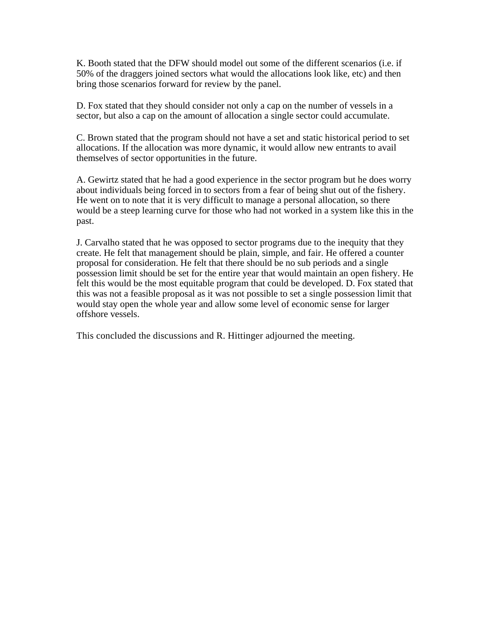K. Booth stated that the DFW should model out some of the different scenarios (i.e. if 50% of the draggers joined sectors what would the allocations look like, etc) and then bring those scenarios forward for review by the panel.

D. Fox stated that they should consider not only a cap on the number of vessels in a sector, but also a cap on the amount of allocation a single sector could accumulate.

C. Brown stated that the program should not have a set and static historical period to set allocations. If the allocation was more dynamic, it would allow new entrants to avail themselves of sector opportunities in the future.

A. Gewirtz stated that he had a good experience in the sector program but he does worry about individuals being forced in to sectors from a fear of being shut out of the fishery. He went on to note that it is very difficult to manage a personal allocation, so there would be a steep learning curve for those who had not worked in a system like this in the past.

J. Carvalho stated that he was opposed to sector programs due to the inequity that they create. He felt that management should be plain, simple, and fair. He offered a counter proposal for consideration. He felt that there should be no sub periods and a single possession limit should be set for the entire year that would maintain an open fishery. He felt this would be the most equitable program that could be developed. D. Fox stated that this was not a feasible proposal as it was not possible to set a single possession limit that would stay open the whole year and allow some level of economic sense for larger offshore vessels.

This concluded the discussions and R. Hittinger adjourned the meeting.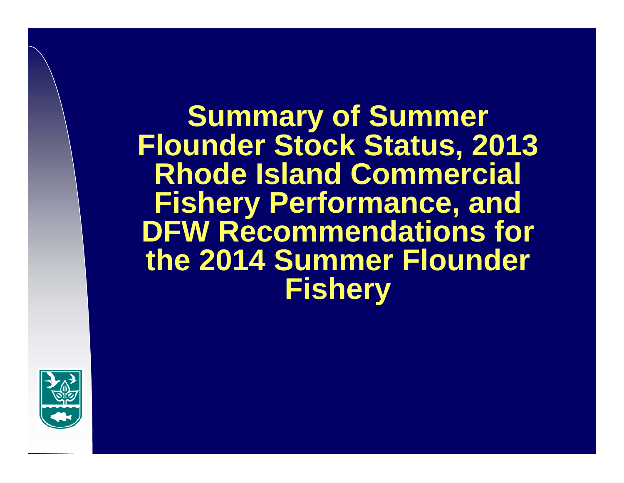**Summary of Summer Flounder Stock Status, 2013 Rhode Island Commercial Fishery Performance, and DFW Recommendations for the 2014 Summer Flounder Fishery**

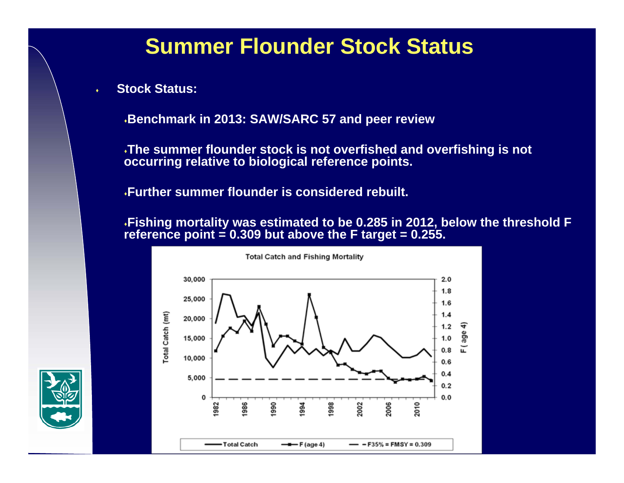## **Summer Flounder Stock Status**

#### **Stock Status:**

٠

**Benchmark in 2013: SAW/SARC 57 and peer review**

**The summer flounder stock is not overfished and overfishing is not occurring relative to biological reference points.** 

**Further summer flounder is considered rebuilt.**

**Fishing mortality was estimated to be 0.285 in 2012, below the threshold F reference point = 0.309 but above the F target = 0.255.** 



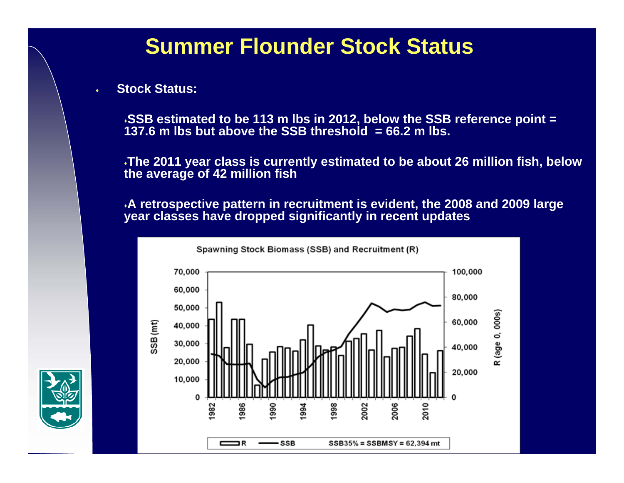## **Summer Flounder Stock Status**

**Stock Status:**

٠

**SSB estimated to be 113 m lbs in 2012, below the SSB reference point = 137.6 m lbs but above the SSB threshold = 66.2 m lbs.** 

**The 2011 year class is currently estimated to be about 26 million fish, below the average of 42 million fish**

**A retrospective pattern in recruitment is evident, the 2008 and 2009 large year classes have dropped significantly in recent updates**

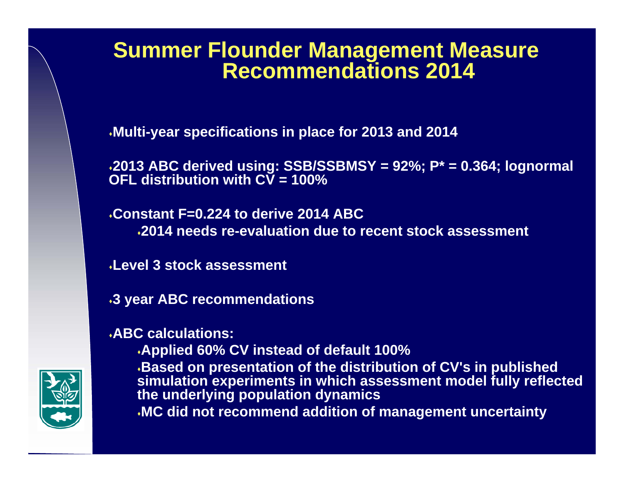**Multi-year specifications in place for 2013 and 2014**

**2013 ABC derived using: SSB/SSBMSY = 92%; P\* = 0.364; lognormal OFL distribution with CV = 100%**

**Constant F=0.224 to derive 2014 ABC 2014 needs re-evaluation due to recent stock assessment**

**Level 3 stock assessment**

**3 year ABC recommendations**

#### **ABC calculations:**

**Applied 60% CV instead of default 100% Based on presentation of the distribution of CV's in published simulation experiments in which assessment model fully reflected the underlying population dynamics MC did not recommend addition of management uncertainty**

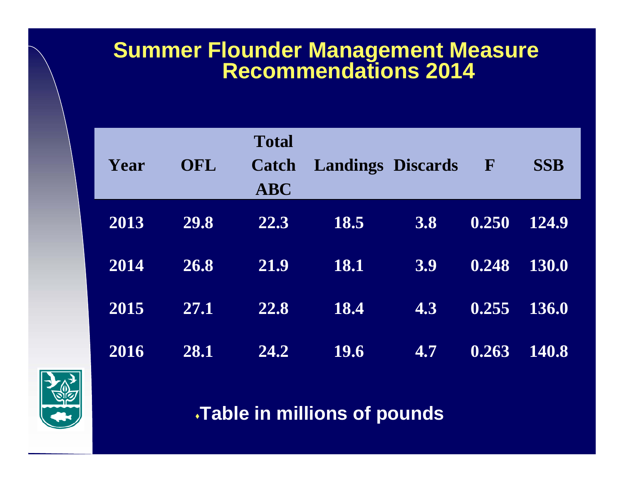| Year | OFL  | <b>Total</b><br><b>Catch</b><br><b>ABC</b> | <b>Landings Discards</b> |     | $\mathbf F$ | <b>SSB</b>   |
|------|------|--------------------------------------------|--------------------------|-----|-------------|--------------|
| 2013 | 29.8 | 22.3                                       | 18.5                     | 3.8 | 0.250       | 124.9        |
| 2014 | 26.8 | 21.9                                       | 18.1                     | 3.9 | 0.248       | 130.0        |
| 2015 | 27.1 | 22.8                                       | 18.4                     | 4.3 | 0.255       | <b>136.0</b> |
| 2016 | 28.1 | 24.2                                       | 19.6                     | 4.7 | 0.263       | 140.8        |



**Table in millions of pounds**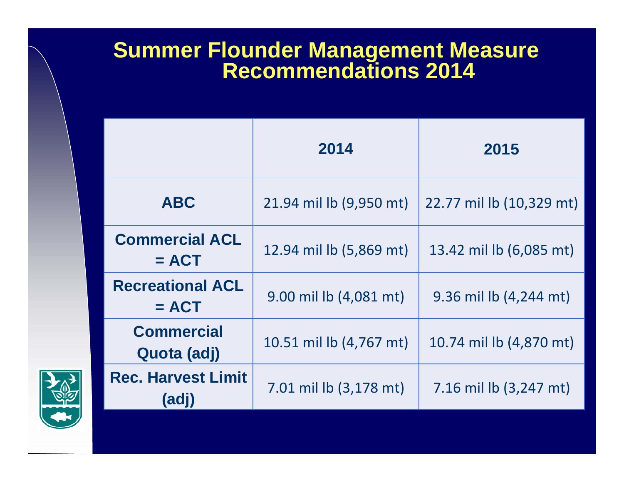|                                    | 2014                    | 2015                     |  |
|------------------------------------|-------------------------|--------------------------|--|
| <b>ABC</b>                         | 21.94 mil lb (9,950 mt) | 22.77 mil lb (10,329 mt) |  |
| <b>Commercial ACL</b><br>$= ACT$   | 12.94 mil lb (5,869 mt) | 13.42 mil lb (6,085 mt)  |  |
| <b>Recreational ACL</b><br>$= ACT$ | 9.00 mil lb (4,081 mt)  | 9.36 mil lb (4,244 mt)   |  |
| <b>Commercial</b><br>Quota (adj)   | 10.51 mil lb (4,767 mt) | 10.74 mil lb (4,870 mt)  |  |
| <b>Rec. Harvest Limit</b><br>(adj) | 7.01 mil lb (3,178 mt)  | 7.16 mil lb (3,247 mt)   |  |

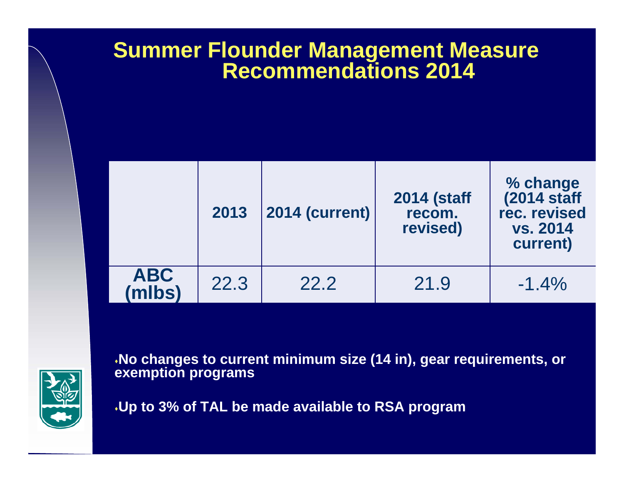|                      | 2013 | 2014 (current) | <b>2014 (staff</b><br>recom.<br>revised) | % change<br>(2014 staff<br>rec. revised<br><b>vs. 2014</b><br>current) |
|----------------------|------|----------------|------------------------------------------|------------------------------------------------------------------------|
| <b>ABC</b><br>(mlbs) | 22.3 | 22.2           | 21.9                                     | $-1.4\%$                                                               |



**No changes to current minimum size (14 in), gear requirements, or exemption programs**

**Up to 3% of TAL be made available to RSA program**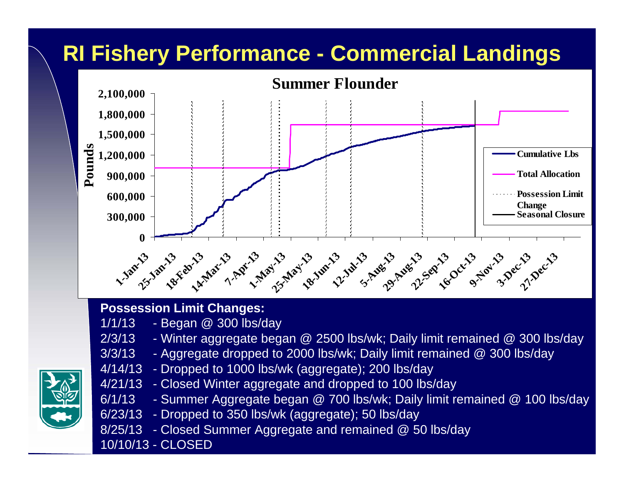# **RI Fishery Performance - Commercial Landings**



#### **Possession Limit Changes:**

- 1/1/13 Began @ 300 lbs/day
- 2/3/13 Winter aggregate began @ 2500 lbs/wk; Daily limit remained @ 300 lbs/day
- 3/3/13 Aggregate dropped to 2000 lbs/wk; Daily limit remained @ 300 lbs/day
- 4/14/13 Dropped to 1000 lbs/wk (aggregate); 200 lbs/day
- 4/21/13 Closed Winter aggregate and dropped to 100 lbs/day
- 6/1/13 Summer Aggregate began @ 700 lbs/wk; Daily limit remained @ 100 lbs/day
- 6/23/13 Dropped to 350 lbs/wk (aggregate); 50 lbs/day

8/25/13 - Closed Summer Aggregate and remained @ 50 lbs/day 10/10/13 - CLOSED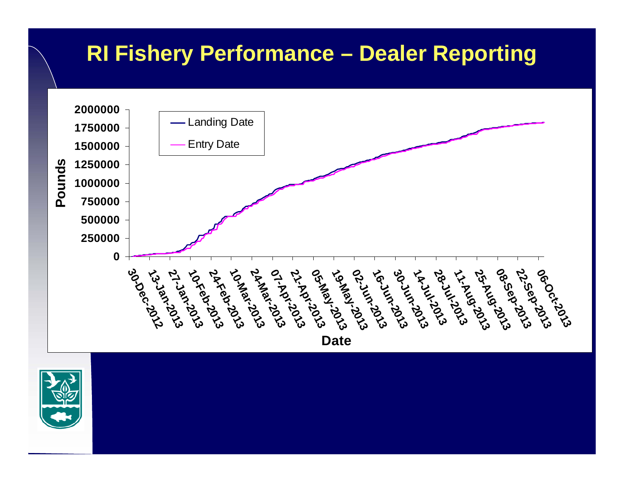## **RI Fishery Performance – Dealer Reporting**



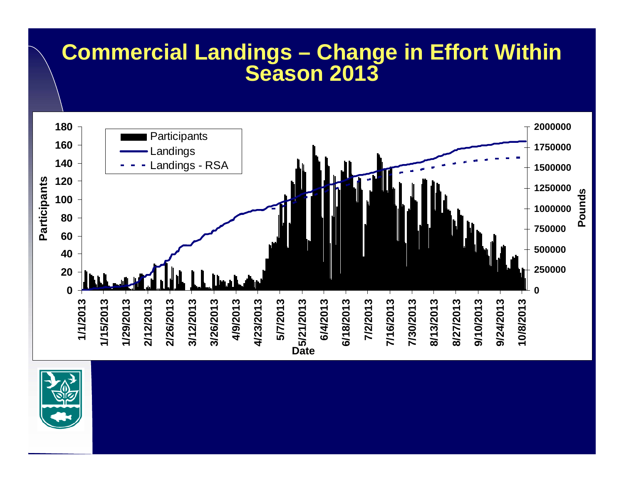### **Commercial Landings – Change in Effort Within Season 2013**



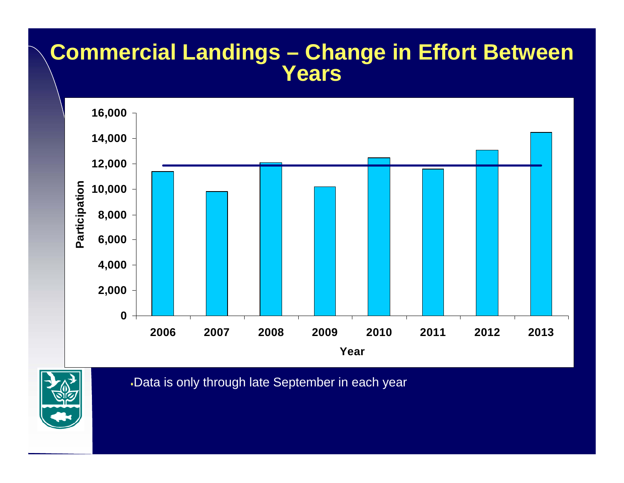#### **Commercial Landings – Change in Effort Between Years**



Data is only through late September in each year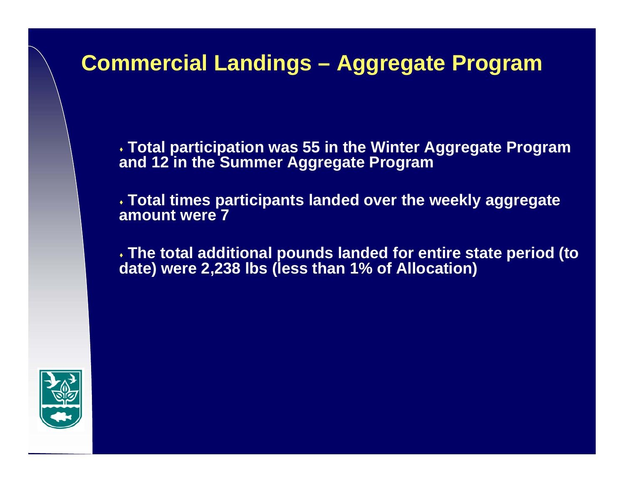## **Commercial Landings – Aggregate Program**

 **Total participation was 55 in the Winter Aggregate Program and 12 in the Summer Aggregate Program**

 **Total times participants landed over the weekly aggregate amount were 7**

 **The total additional pounds landed for entire state period (to date) were 2,238 lbs (less than 1% of Allocation)**

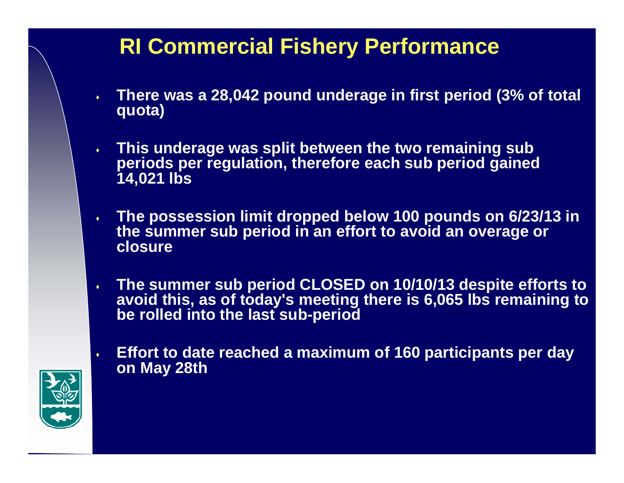## **RI Commercial Fishery Performance**

- ٠ **There was a 28,042 pound underage in first period (3% of total quota)**
- ٠ **This underage was split between the two remaining sub periods per regulation, therefore each sub period gained 14,021 lbs**
- **The possession limit dropped below 100 pounds on 6/23/13 in the summer sub period in an effort to avoid an overage or closure**
- ٠ **The summer sub period CLOSED on 10/10/13 despite efforts to avoid this, as of today's meeting there is 6,065 lbs remaining to be rolled into the last sub-period**
	- **Effort to date reached a maximum of 160 participants per day on May 28th**



 $\ddot{\bullet}$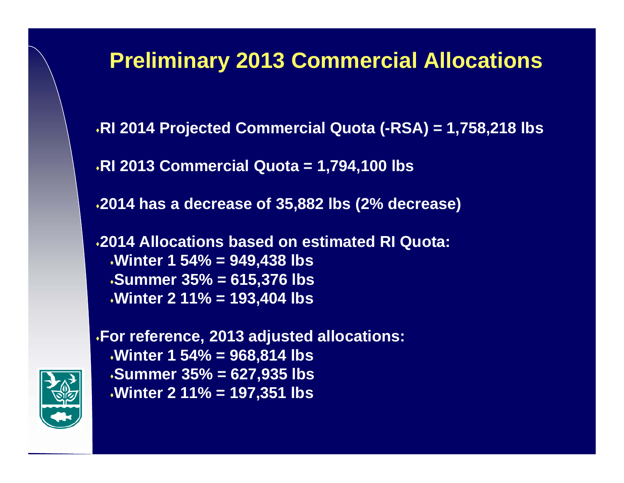## **Preliminary 2013 Commercial Allocations**

**RI 2014 Projected Commercial Quota (-RSA) = 1,758,218 lbs**

**RI 2013 Commercial Quota = 1,794,100 lbs**

**2014 has a decrease of 35,882 lbs (2% decrease)**

**2014 Allocations based on estimated RI Quota: Winter 1 54% = 949,438 lbs Summer 35% = 615,376 lbs Winter 2 11% = 193,404 lbs**



**For reference, 2013 adjusted allocations: Winter 1 54% = 968,814 lbs Summer 35% = 627,935 lbs Winter 2 11% = 197,351 lbs**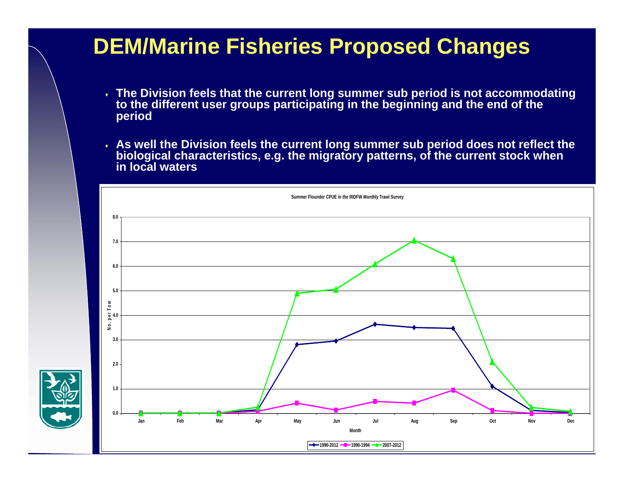## **DEM/Marine Fisheries Proposed Changes**

- **The Division feels that the current long summer sub period is not accommodating to the different user groups participating in the beginning and the end of the period**
- **As well the Division feels the current long summer sub period does not reflect the biological characteristics, e.g. the migratory patterns, of the current stock when in local waters**



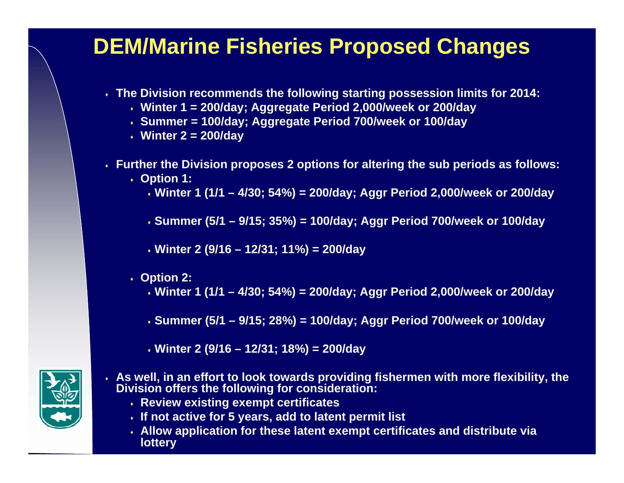## **DEM/Marine Fisheries Proposed Changes**

- **The Division recommends the following starting possession limits for 2014:**
	- **Winter 1 = 200/day; Aggregate Period 2,000/week or 200/day**
	- **Summer = 100/day; Aggregate Period 700/week or 100/day**
	- **Winter 2 = 200/day**
- **Further the Division proposes 2 options for altering the sub periods as follows:**
	- **Option 1:**

**Winter 1 (1/1 – 4/30; 54%) = 200/day; Aggr Period 2,000/week or 200/day**

- **Summer (5/1 9/15; 35%) = 100/day; Aggr Period 700/week or 100/day**
- **Winter 2 (9/16 12/31; 11%) = 200/day**
- **Option 2:**
	- **Winter 1 (1/1 4/30; 54%) = 200/day; Aggr Period 2,000/week or 200/day**
	- **Summer (5/1 9/15; 28%) = 100/day; Aggr Period 700/week or 100/day**
	- **Winter 2 (9/16 12/31; 18%) = 200/day**
- **As well, in an effort to look towards providing fishermen with more flexibility, the Division offers the following for consideration:**
	- **Review existing exempt certificates**
	- **If not active for 5 years, add to latent permit list**
	- **Allow application for these latent exempt certificates and distribute via lottery**

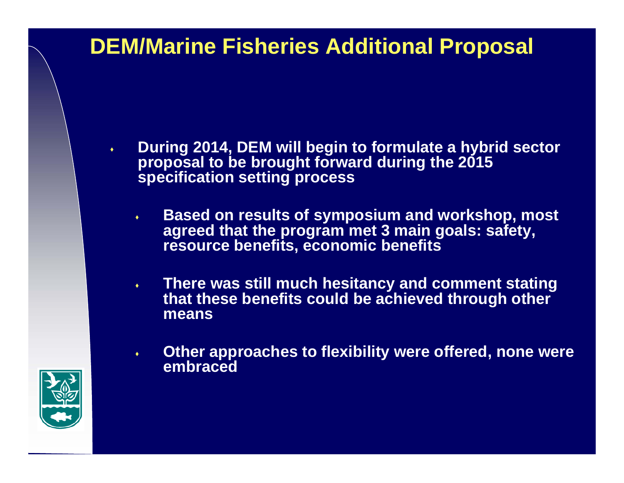## **DEM/Marine Fisheries Additional Proposal**

- ٠ **During 2014, DEM will begin to formulate a hybrid sector proposal to be brought forward during the 2015 specification setting process**
	- $\blacklozenge$  **Based on results of symposium and workshop, most agreed that the program met 3 main goals: safety, resource benefits, economic benefits**
	- $\blacklozenge$  **There was still much hesitancy and comment stating that these benefits could be achieved through other means**
	- $\blacklozenge$  **Other approaches to flexibility were offered, none were embraced**

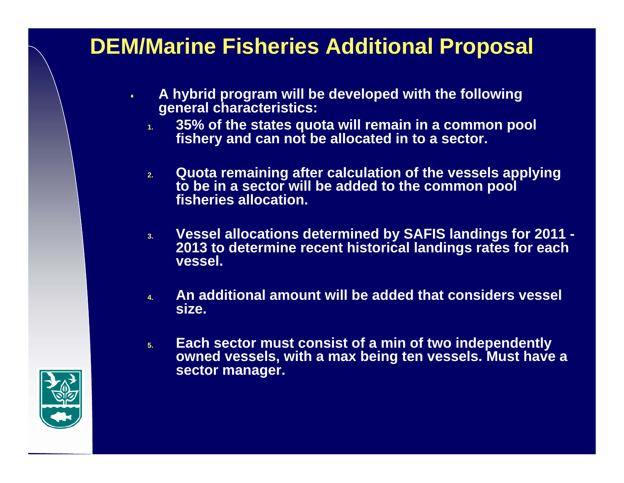## **DEM/Marine Fisheries Additional Proposal**

- $\blacklozenge$  **A hybrid program will be developed with the following general characteristics:**
	- **1. 35% of the states quota will remain in a common pool fishery and can not be allocated in to a sector.**
	- **2. Quota remaining after calculation of the vessels applying to be in a sector will be added to the common pool fisheries allocation.**
	- **3. Vessel allocations determined by SAFIS landings for 2011 2013 to determine recent historical landings rates for each vessel.**
	- **4. An additional amount will be added that considers vessel size.**
	- **5. Each sector must consist of a min of two independently owned vessels, with a max being ten vessels. Must have a sector manager.**